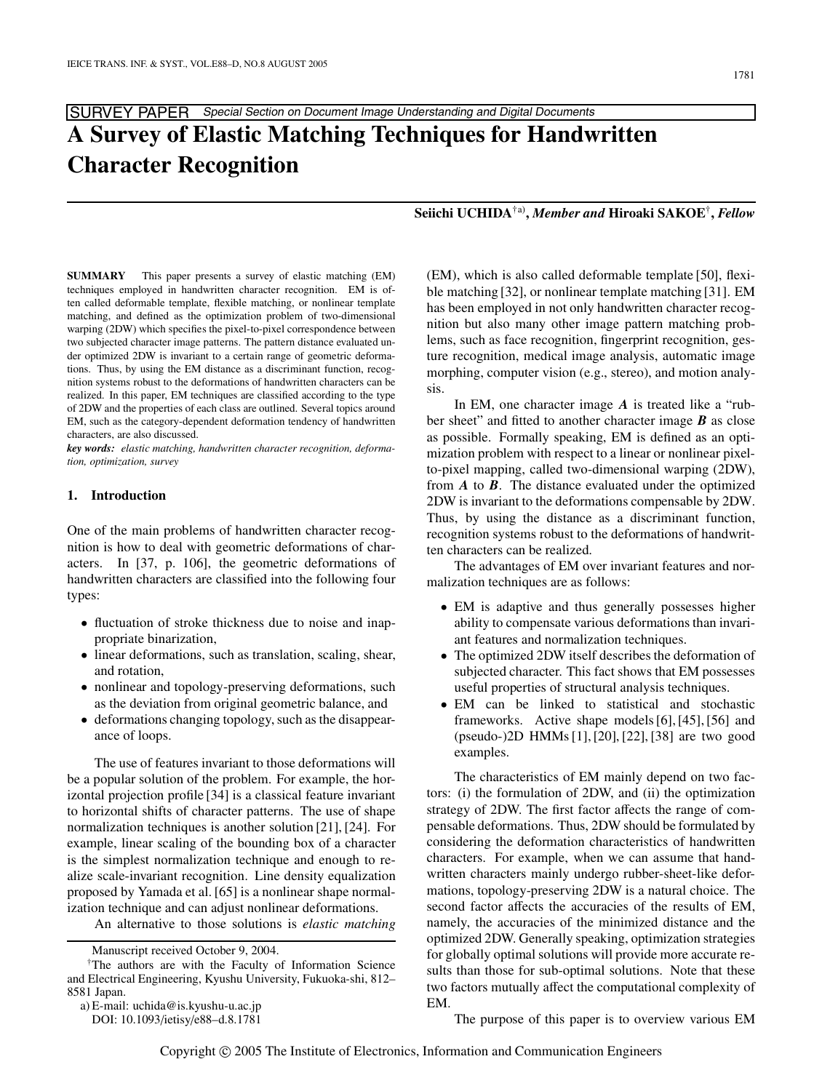# SURVEY PAPER Special Section on Document Image Understanding and Digital Documents **A Survey of Elastic Matching Techniques for Handwritten Character Recognition**

**Seiichi UCHIDA**†a)**,** *Member and* **Hiroaki SAKOE**†**,** *Fellow*

**SUMMARY** This paper presents a survey of elastic matching (EM) techniques employed in handwritten character recognition. EM is often called deformable template, flexible matching, or nonlinear template matching, and defined as the optimization problem of two-dimensional warping (2DW) which specifies the pixel-to-pixel correspondence between two subjected character image patterns. The pattern distance evaluated under optimized 2DW is invariant to a certain range of geometric deformations. Thus, by using the EM distance as a discriminant function, recognition systems robust to the deformations of handwritten characters can be realized. In this paper, EM techniques are classified according to the type of 2DW and the properties of each class are outlined. Several topics around EM, such as the category-dependent deformation tendency of handwritten characters, are also discussed.

*key words: elastic matching, handwritten character recognition, deformation, optimization, survey*

# **1. Introduction**

One of the main problems of handwritten character recognition is how to deal with geometric deformations of characters. In [37, p. 106], the geometric deformations of handwritten characters are classified into the following four types:

- fluctuation of stroke thickness due to noise and inappropriate binarization,
- linear deformations, such as translation, scaling, shear, and rotation,
- nonlinear and topology-preserving deformations, such as the deviation from original geometric balance, and
- deformations changing topology, such as the disappearance of loops.

The use of features invariant to those deformations will be a popular solution of the problem. For example, the horizontal projection profile [34] is a classical feature invariant to horizontal shifts of character patterns. The use of shape normalization techniques is another solution [21], [24]. For example, linear scaling of the bounding box of a character is the simplest normalization technique and enough to realize scale-invariant recognition. Line density equalization proposed by Yamada et al. [65] is a nonlinear shape normalization technique and can adjust nonlinear deformations.

An alternative to those solutions is *elastic matching*

(EM), which is also called deformable template [50], flexible matching [32], or nonlinear template matching [31]. EM has been employed in not only handwritten character recognition but also many other image pattern matching problems, such as face recognition, fingerprint recognition, gesture recognition, medical image analysis, automatic image morphing, computer vision (e.g., stereo), and motion analysis.

In EM, one character image *A* is treated like a "rubber sheet" and fitted to another character image *B* as close as possible. Formally speaking, EM is defined as an optimization problem with respect to a linear or nonlinear pixelto-pixel mapping, called two-dimensional warping (2DW), from *A* to *B*. The distance evaluated under the optimized 2DW is invariant to the deformations compensable by 2DW. Thus, by using the distance as a discriminant function, recognition systems robust to the deformations of handwritten characters can be realized.

The advantages of EM over invariant features and normalization techniques are as follows:

- EM is adaptive and thus generally possesses higher ability to compensate various deformations than invariant features and normalization techniques.
- The optimized 2DW itself describes the deformation of subjected character. This fact shows that EM possesses useful properties of structural analysis techniques.
- EM can be linked to statistical and stochastic frameworks. Active shape models [6], [45], [56] and (pseudo-)2D HMMs [1], [20], [22], [38] are two good examples.

The characteristics of EM mainly depend on two factors: (i) the formulation of 2DW, and (ii) the optimization strategy of 2DW. The first factor affects the range of compensable deformations. Thus, 2DW should be formulated by considering the deformation characteristics of handwritten characters. For example, when we can assume that handwritten characters mainly undergo rubber-sheet-like deformations, topology-preserving 2DW is a natural choice. The second factor affects the accuracies of the results of EM, namely, the accuracies of the minimized distance and the optimized 2DW. Generally speaking, optimization strategies for globally optimal solutions will provide more accurate results than those for sub-optimal solutions. Note that these two factors mutually affect the computational complexity of EM.

The purpose of this paper is to overview various EM

Manuscript received October 9, 2004.

<sup>†</sup>The authors are with the Faculty of Information Science and Electrical Engineering, Kyushu University, Fukuoka-shi, 812– 8581 Japan.

a) E-mail: uchida@is.kyushu-u.ac.jp

DOI: 10.1093/ietisy/e88–d.8.1781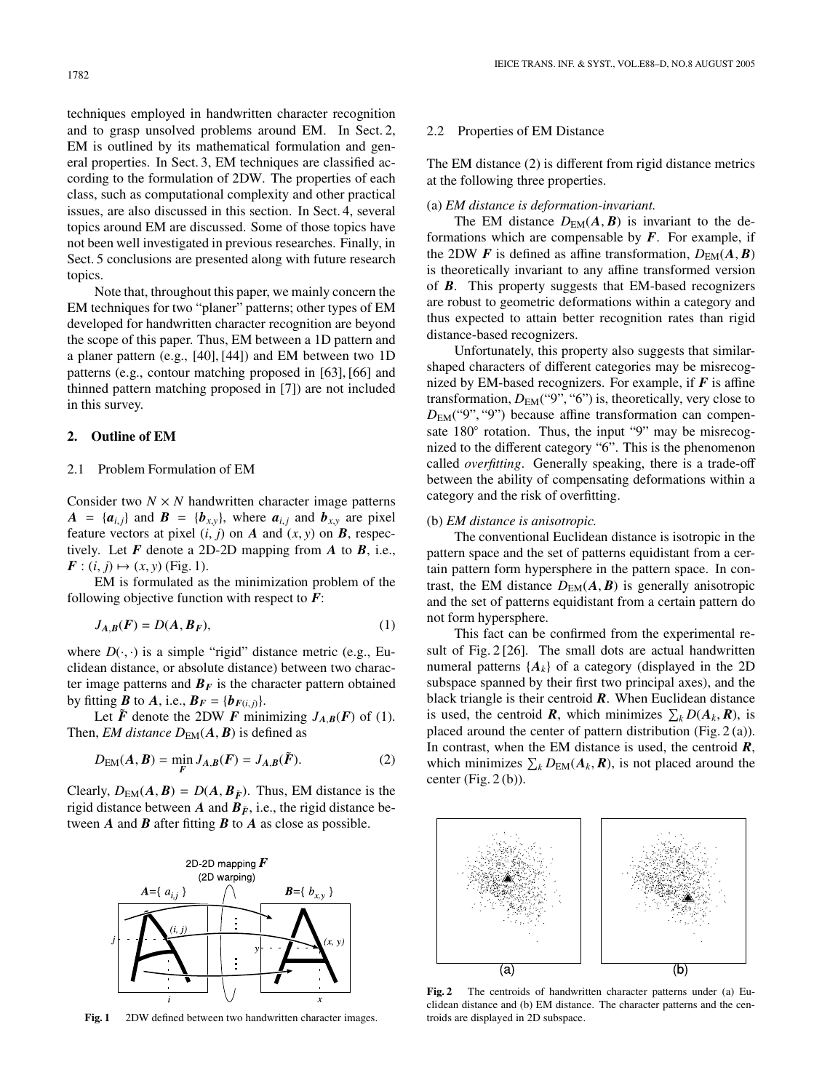1782

techniques employed in handwritten character recognition and to grasp unsolved problems around EM. In Sect. 2, EM is outlined by its mathematical formulation and general properties. In Sect. 3, EM techniques are classified according to the formulation of 2DW. The properties of each class, such as computational complexity and other practical issues, are also discussed in this section. In Sect. 4, several topics around EM are discussed. Some of those topics have not been well investigated in previous researches. Finally, in Sect. 5 conclusions are presented along with future research topics.

Note that, throughout this paper, we mainly concern the EM techniques for two "planer" patterns; other types of EM developed for handwritten character recognition are beyond the scope of this paper. Thus, EM between a 1D pattern and a planer pattern (e.g., [40], [44]) and EM between two 1D patterns (e.g., contour matching proposed in [63], [66] and thinned pattern matching proposed in [7]) are not included in this survey.

## **2. Outline of EM**

## 2.1 Problem Formulation of EM

Consider two  $N \times N$  handwritten character image patterns  $A = {a_{i,j}}$  and  $B = {b_{x,y}}$ , where  $a_{i,j}$  and  $b_{x,y}$  are pixel feature vectors at pixel  $(i, j)$  on *A* and  $(x, y)$  on *B*, respectively. Let *F* denote a 2D-2D mapping from *A* to *B*, i.e.,  $F: (i, j) \mapsto (x, y)$  (Fig. 1).

EM is formulated as the minimization problem of the following objective function with respect to *F*:

$$
J_{A,B}(F) = D(A, B_F),\tag{1}
$$

where  $D(\cdot, \cdot)$  is a simple "rigid" distance metric (e.g., Euclidean distance, or absolute distance) between two character image patterns and  $B_F$  is the character pattern obtained by fitting  $\boldsymbol{B}$  to  $\boldsymbol{A}$ , i.e.,  $\boldsymbol{B}_F = \{\boldsymbol{b}_{F(i,j)}\}.$ 

Let  $\tilde{F}$  denote the 2DW  $F$  minimizing  $J_{A,B}(F)$  of (1). Then, *EM distance*  $D_{EM}(A, B)$  is defined as

$$
D_{EM}(A, B) = \min_{F} J_{A,B}(F) = J_{A,B}(\tilde{F}).
$$
\n(2)

Clearly,  $D_{EM}(A, B) = D(A, B_{\tilde{F}})$ . Thus, EM distance is the rigid distance between *A* and  $B_{\tilde{F}}$ , i.e., the rigid distance between *A* and *B* after fitting *B* to *A* as close as possible.



Fig. 1 2DW defined between two handwritten character images.

#### 2.2 Properties of EM Distance

The EM distance (2) is different from rigid distance metrics at the following three properties.

#### (a) *EM distance is deformation-invariant.*

The EM distance  $D_{EM}(A, B)$  is invariant to the deformations which are compensable by  $F$ . For example, if the 2DW *F* is defined as affine transformation,  $D_{EM}(A, B)$ is theoretically invariant to any affine transformed version of *B*. This property suggests that EM-based recognizers are robust to geometric deformations within a category and thus expected to attain better recognition rates than rigid distance-based recognizers.

Unfortunately, this property also suggests that similarshaped characters of different categories may be misrecognized by EM-based recognizers. For example, if  $F$  is affine transformation,  $D_{EM}("9", "6")$  is, theoretically, very close to *D*EM("9", "9") because affine transformation can compensate 180<sup>°</sup> rotation. Thus, the input "9" may be misrecognized to the different category "6". This is the phenomenon called *overfitting*. Generally speaking, there is a trade-off between the ability of compensating deformations within a category and the risk of overfitting.

## (b) *EM distance is anisotropic.*

The conventional Euclidean distance is isotropic in the pattern space and the set of patterns equidistant from a certain pattern form hypersphere in the pattern space. In contrast, the EM distance  $D_{EM}(A, B)$  is generally anisotropic and the set of patterns equidistant from a certain pattern do not form hypersphere.

This fact can be confirmed from the experimental result of Fig. 2 [26]. The small dots are actual handwritten numeral patterns  ${A_k}$  of a category (displayed in the 2D subspace spanned by their first two principal axes), and the black triangle is their centroid *R*. When Euclidean distance is used, the centroid **R**, which minimizes  $\sum_k D(A_k, \mathbf{R})$ , is placed around the center of pattern distribution (Fig. 2 (a)). In contrast, when the EM distance is used, the centroid *R*, which minimizes  $\sum_{k} D_{EM}(A_k, R)$ , is not placed around the center (Fig.  $2(b)$ ).



**Fig. 2** The centroids of handwritten character patterns under (a) Euclidean distance and (b) EM distance. The character patterns and the centroids are displayed in 2D subspace.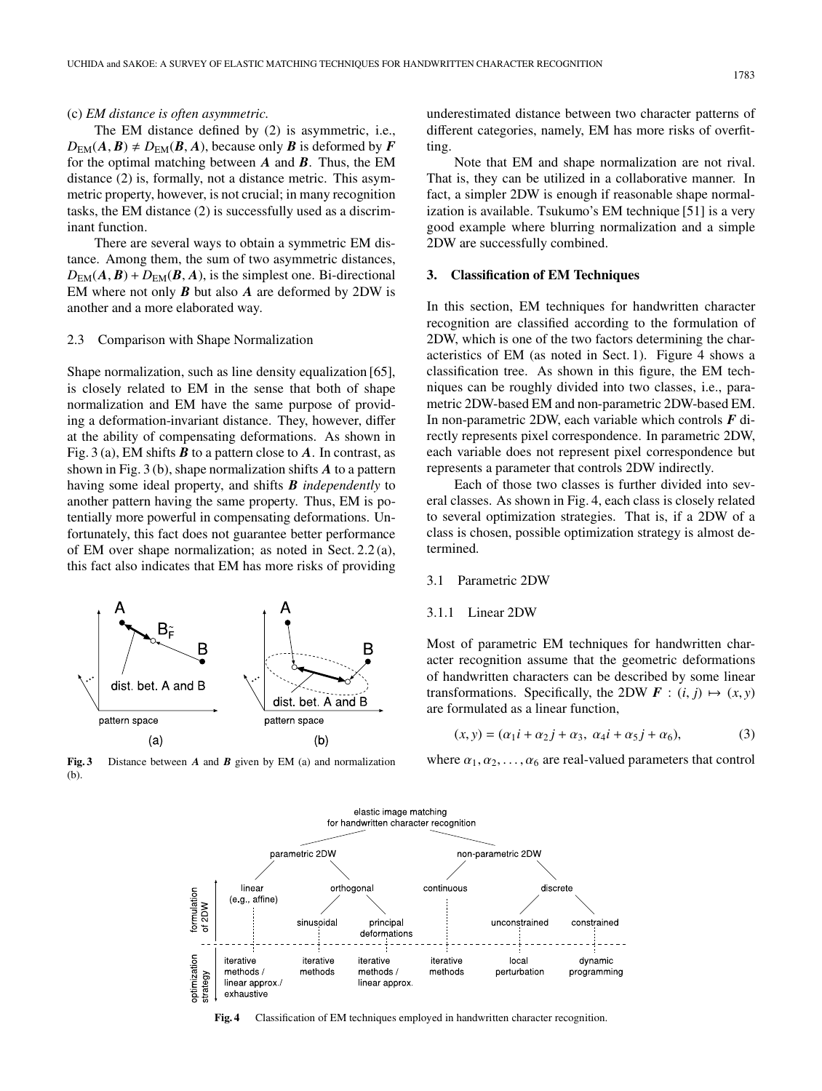# (c) *EM distance is often asymmetric.*

The EM distance defined by (2) is asymmetric, i.e.,  $D_{EM}(A, B) \neq D_{EM}(B, A)$ , because only *B* is deformed by *F* for the optimal matching between *A* and *B*. Thus, the EM distance (2) is, formally, not a distance metric. This asymmetric property, however, is not crucial; in many recognition tasks, the EM distance (2) is successfully used as a discriminant function.

There are several ways to obtain a symmetric EM distance. Among them, the sum of two asymmetric distances,  $D_{EM}(A, B) + D_{EM}(B, A)$ , is the simplest one. Bi-directional EM where not only *B* but also *A* are deformed by 2DW is another and a more elaborated way.

### 2.3 Comparison with Shape Normalization

Shape normalization, such as line density equalization [65], is closely related to EM in the sense that both of shape normalization and EM have the same purpose of providing a deformation-invariant distance. They, however, differ at the ability of compensating deformations. As shown in Fig. 3 (a), EM shifts *B* to a pattern close to *A*. In contrast, as shown in Fig. 3 (b), shape normalization shifts *A* to a pattern having some ideal property, and shifts *B independently* to another pattern having the same property. Thus, EM is potentially more powerful in compensating deformations. Unfortunately, this fact does not guarantee better performance of EM over shape normalization; as noted in Sect. 2.2 (a), this fact also indicates that EM has more risks of providing



**Fig. 3** Distance between *A* and *B* given by EM (a) and normalization (b).

underestimated distance between two character patterns of different categories, namely, EM has more risks of overfitting.

Note that EM and shape normalization are not rival. That is, they can be utilized in a collaborative manner. In fact, a simpler 2DW is enough if reasonable shape normalization is available. Tsukumo's EM technique [51] is a very good example where blurring normalization and a simple 2DW are successfully combined.

#### **3. Classification of EM Techniques**

In this section, EM techniques for handwritten character recognition are classified according to the formulation of 2DW, which is one of the two factors determining the characteristics of EM (as noted in Sect. 1). Figure 4 shows a classification tree. As shown in this figure, the EM techniques can be roughly divided into two classes, i.e., parametric 2DW-based EM and non-parametric 2DW-based EM. In non-parametric 2DW, each variable which controls *F* directly represents pixel correspondence. In parametric 2DW, each variable does not represent pixel correspondence but represents a parameter that controls 2DW indirectly.

Each of those two classes is further divided into several classes. As shown in Fig. 4, each class is closely related to several optimization strategies. That is, if a 2DW of a class is chosen, possible optimization strategy is almost determined.

# 3.1 Parametric 2DW

## 3.1.1 Linear 2DW

Most of parametric EM techniques for handwritten character recognition assume that the geometric deformations of handwritten characters can be described by some linear transformations. Specifically, the 2DW  $\mathbf{F}$  :  $(i, j) \mapsto (x, y)$ are formulated as a linear function,

$$
(x, y) = (\alpha_1 i + \alpha_2 j + \alpha_3, \ \alpha_4 i + \alpha_5 j + \alpha_6), \tag{3}
$$

where  $\alpha_1, \alpha_2, \ldots, \alpha_6$  are real-valued parameters that control



**Fig. 4** Classification of EM techniques employed in handwritten character recognition.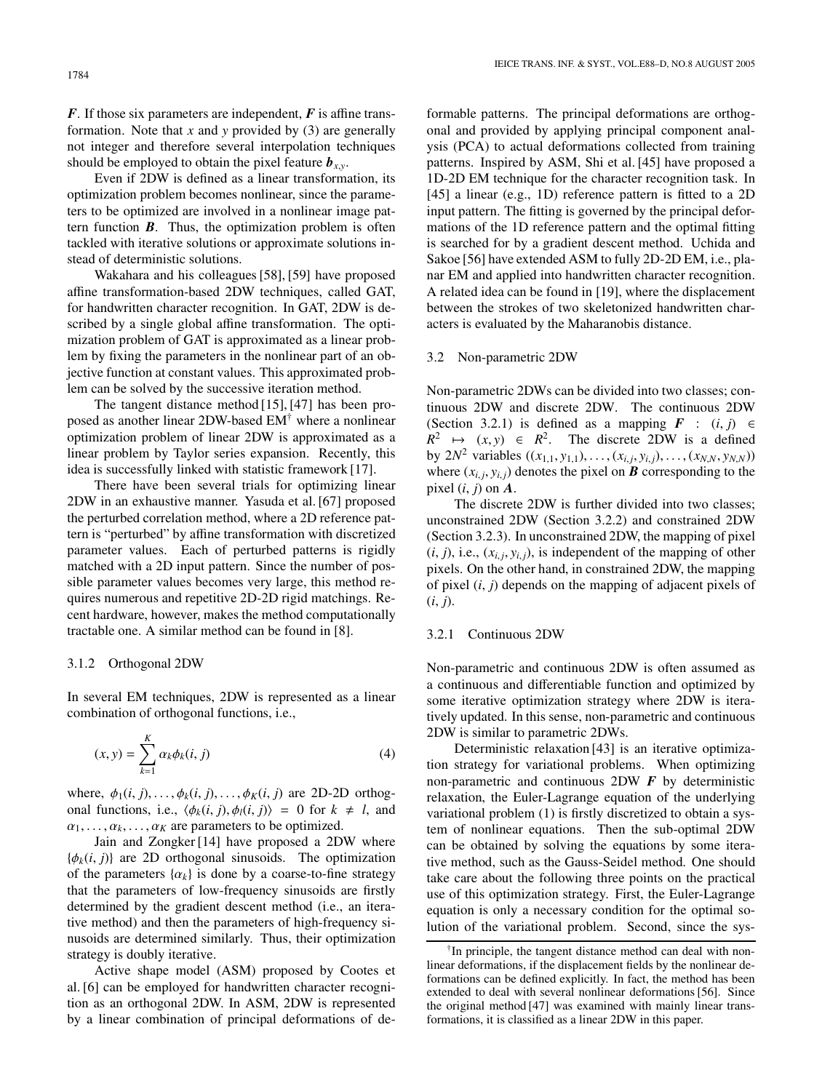Even if 2DW is defined as a linear transformation, its optimization problem becomes nonlinear, since the parameters to be optimized are involved in a nonlinear image pattern function *B*. Thus, the optimization problem is often tackled with iterative solutions or approximate solutions instead of deterministic solutions.

Wakahara and his colleagues [58], [59] have proposed affine transformation-based 2DW techniques, called GAT, for handwritten character recognition. In GAT, 2DW is described by a single global affine transformation. The optimization problem of GAT is approximated as a linear problem by fixing the parameters in the nonlinear part of an objective function at constant values. This approximated problem can be solved by the successive iteration method.

The tangent distance method [15], [47] has been proposed as another linear 2DW-based EM† where a nonlinear optimization problem of linear 2DW is approximated as a linear problem by Taylor series expansion. Recently, this idea is successfully linked with statistic framework [17].

There have been several trials for optimizing linear 2DW in an exhaustive manner. Yasuda et al. [67] proposed the perturbed correlation method, where a 2D reference pattern is "perturbed" by affine transformation with discretized parameter values. Each of perturbed patterns is rigidly matched with a 2D input pattern. Since the number of possible parameter values becomes very large, this method requires numerous and repetitive 2D-2D rigid matchings. Recent hardware, however, makes the method computationally tractable one. A similar method can be found in [8].

# 3.1.2 Orthogonal 2DW

In several EM techniques, 2DW is represented as a linear combination of orthogonal functions, i.e.,

$$
(x, y) = \sum_{k=1}^{K} \alpha_k \phi_k(i, j) \tag{4}
$$

where,  $\phi_1(i, j), \ldots, \phi_k(i, j), \ldots, \phi_K(i, j)$  are 2D-2D orthogonal functions, i.e.,  $\langle \phi_k(i, j), \phi_l(i, j) \rangle = 0$  for  $k \neq l$ , and  $\alpha_1, \ldots, \alpha_k, \ldots, \alpha_K$  are parameters to be optimized.

Jain and Zongker [14] have proposed a 2DW where  ${\phi_k(i, j)}$  are 2D orthogonal sinusoids. The optimization of the parameters  $\{\alpha_k\}$  is done by a coarse-to-fine strategy that the parameters of low-frequency sinusoids are firstly determined by the gradient descent method (i.e., an iterative method) and then the parameters of high-frequency sinusoids are determined similarly. Thus, their optimization strategy is doubly iterative.

Active shape model (ASM) proposed by Cootes et al. [6] can be employed for handwritten character recognition as an orthogonal 2DW. In ASM, 2DW is represented by a linear combination of principal deformations of de-

formable patterns. The principal deformations are orthogonal and provided by applying principal component analysis (PCA) to actual deformations collected from training patterns. Inspired by ASM, Shi et al. [45] have proposed a 1D-2D EM technique for the character recognition task. In [45] a linear (e.g., 1D) reference pattern is fitted to a 2D input pattern. The fitting is governed by the principal deformations of the 1D reference pattern and the optimal fitting is searched for by a gradient descent method. Uchida and Sakoe [56] have extended ASM to fully 2D-2D EM, i.e., planar EM and applied into handwritten character recognition. A related idea can be found in [19], where the displacement between the strokes of two skeletonized handwritten characters is evaluated by the Maharanobis distance.

#### 3.2 Non-parametric 2DW

Non-parametric 2DWs can be divided into two classes; continuous 2DW and discrete 2DW. The continuous 2DW (Section 3.2.1) is defined as a mapping  $\mathbf{F}$  :  $(i, j) \in$  $R^2 \rightarrow (x, y) \in R^2$ . The discrete 2DW is a defined by  $2N^2$  variables  $((x_{1,1}, y_{1,1}), \ldots, (x_{i,j}, y_{i,j}), \ldots, (x_{N,N}, y_{N,N}))$ where  $(x_{i,i}, y_{i,i})$  denotes the pixel on **B** corresponding to the pixel  $(i, j)$  on  $\vec{A}$ .

The discrete 2DW is further divided into two classes; unconstrained 2DW (Section 3.2.2) and constrained 2DW (Section 3.2.3). In unconstrained 2DW, the mapping of pixel  $(i, j)$ , i.e.,  $(x_{i,j}, y_{i,j})$ , is independent of the mapping of other pixels. On the other hand, in constrained 2DW, the mapping of pixel (*i*, *j*) depends on the mapping of adjacent pixels of  $(i, j)$ .

# 3.2.1 Continuous 2DW

Non-parametric and continuous 2DW is often assumed as a continuous and differentiable function and optimized by some iterative optimization strategy where 2DW is iteratively updated. In this sense, non-parametric and continuous 2DW is similar to parametric 2DWs.

Deterministic relaxation [43] is an iterative optimization strategy for variational problems. When optimizing non-parametric and continuous 2DW *F* by deterministic relaxation, the Euler-Lagrange equation of the underlying variational problem (1) is firstly discretized to obtain a system of nonlinear equations. Then the sub-optimal 2DW can be obtained by solving the equations by some iterative method, such as the Gauss-Seidel method. One should take care about the following three points on the practical use of this optimization strategy. First, the Euler-Lagrange equation is only a necessary condition for the optimal solution of the variational problem. Second, since the sys-

<sup>&</sup>lt;sup>†</sup>In principle, the tangent distance method can deal with nonlinear deformations, if the displacement fields by the nonlinear deformations can be defined explicitly. In fact, the method has been extended to deal with several nonlinear deformations [56]. Since the original method [47] was examined with mainly linear transformations, it is classified as a linear 2DW in this paper.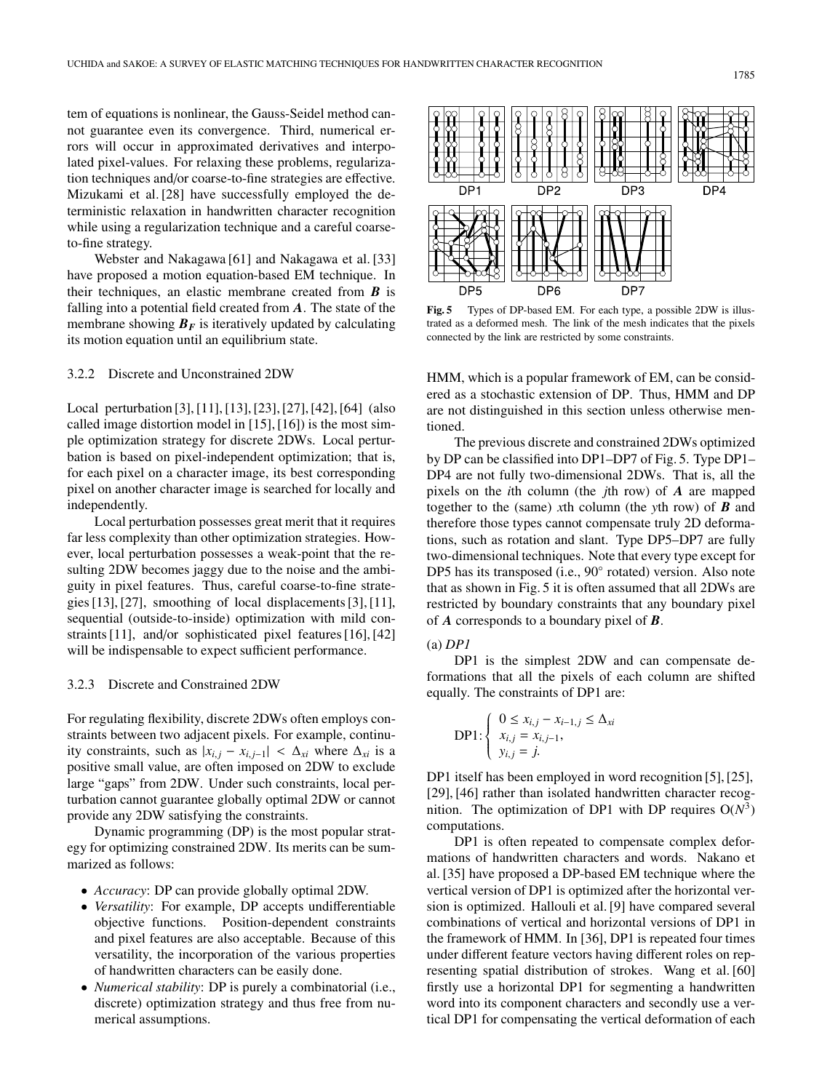tem of equations is nonlinear, the Gauss-Seidel method cannot guarantee even its convergence. Third, numerical errors will occur in approximated derivatives and interpolated pixel-values. For relaxing these problems, regularization techniques and/or coarse-to-fine strategies are effective. Mizukami et al. [28] have successfully employed the deterministic relaxation in handwritten character recognition while using a regularization technique and a careful coarseto-fine strategy.

Webster and Nakagawa [61] and Nakagawa et al. [33] have proposed a motion equation-based EM technique. In their techniques, an elastic membrane created from *B* is falling into a potential field created from *A*. The state of the membrane showing  $B_F$  is iteratively updated by calculating its motion equation until an equilibrium state.

# 3.2.2 Discrete and Unconstrained 2DW

Local perturbation [3], [11], [13], [23], [27], [42], [64] (also called image distortion model in [15], [16]) is the most simple optimization strategy for discrete 2DWs. Local perturbation is based on pixel-independent optimization; that is, for each pixel on a character image, its best corresponding pixel on another character image is searched for locally and independently.

Local perturbation possesses great merit that it requires far less complexity than other optimization strategies. However, local perturbation possesses a weak-point that the resulting 2DW becomes jaggy due to the noise and the ambiguity in pixel features. Thus, careful coarse-to-fine strategies [13], [27], smoothing of local displacements [3], [11], sequential (outside-to-inside) optimization with mild constraints [11], and/or sophisticated pixel features [16], [42] will be indispensable to expect sufficient performance.

## 3.2.3 Discrete and Constrained 2DW

For regulating flexibility, discrete 2DWs often employs constraints between two adjacent pixels. For example, continuity constraints, such as  $|x_{i,j} - x_{i,j-1}| < \Delta_{xi}$  where  $\Delta_{xi}$  is a positive small value, are often imposed on 2DW to exclude large "gaps" from 2DW. Under such constraints, local perturbation cannot guarantee globally optimal 2DW or cannot provide any 2DW satisfying the constraints.

Dynamic programming (DP) is the most popular strategy for optimizing constrained 2DW. Its merits can be summarized as follows:

- *Accuracy*: DP can provide globally optimal 2DW.
- *Versatility*: For example, DP accepts undifferentiable objective functions. Position-dependent constraints and pixel features are also acceptable. Because of this versatility, the incorporation of the various properties of handwritten characters can be easily done.
- *Numerical stability*: DP is purely a combinatorial (i.e., discrete) optimization strategy and thus free from numerical assumptions.



**Fig. 5** Types of DP-based EM. For each type, a possible 2DW is illustrated as a deformed mesh. The link of the mesh indicates that the pixels connected by the link are restricted by some constraints.

HMM, which is a popular framework of EM, can be considered as a stochastic extension of DP. Thus, HMM and DP are not distinguished in this section unless otherwise mentioned.

The previous discrete and constrained 2DWs optimized by DP can be classified into DP1–DP7 of Fig. 5. Type DP1– DP4 are not fully two-dimensional 2DWs. That is, all the pixels on the *i*th column (the *j*th row) of *A* are mapped together to the (same) *x*th column (the *y*th row) of *B* and therefore those types cannot compensate truly 2D deformations, such as rotation and slant. Type DP5–DP7 are fully two-dimensional techniques. Note that every type except for DP5 has its transposed (i.e., 90◦ rotated) version. Also note that as shown in Fig. 5 it is often assumed that all 2DWs are restricted by boundary constraints that any boundary pixel of *A* corresponds to a boundary pixel of *B*.

## (a) *DP1*

DP1 is the simplest 2DW and can compensate deformations that all the pixels of each column are shifted equally. The constraints of DP1 are:

$$
\text{DP1:} \begin{cases} 0 \le x_{i,j} - x_{i-1,j} \le \Delta_{xi} \\ x_{i,j} = x_{i,j-1}, \\ y_{i,j} = j. \end{cases}
$$

DP1 itself has been employed in word recognition [5], [25], [29], [46] rather than isolated handwritten character recognition. The optimization of DP1 with DP requires  $O(N^3)$ computations.

DP1 is often repeated to compensate complex deformations of handwritten characters and words. Nakano et al. [35] have proposed a DP-based EM technique where the vertical version of DP1 is optimized after the horizontal version is optimized. Hallouli et al. [9] have compared several combinations of vertical and horizontal versions of DP1 in the framework of HMM. In [36], DP1 is repeated four times under different feature vectors having different roles on representing spatial distribution of strokes. Wang et al. [60] firstly use a horizontal DP1 for segmenting a handwritten word into its component characters and secondly use a vertical DP1 for compensating the vertical deformation of each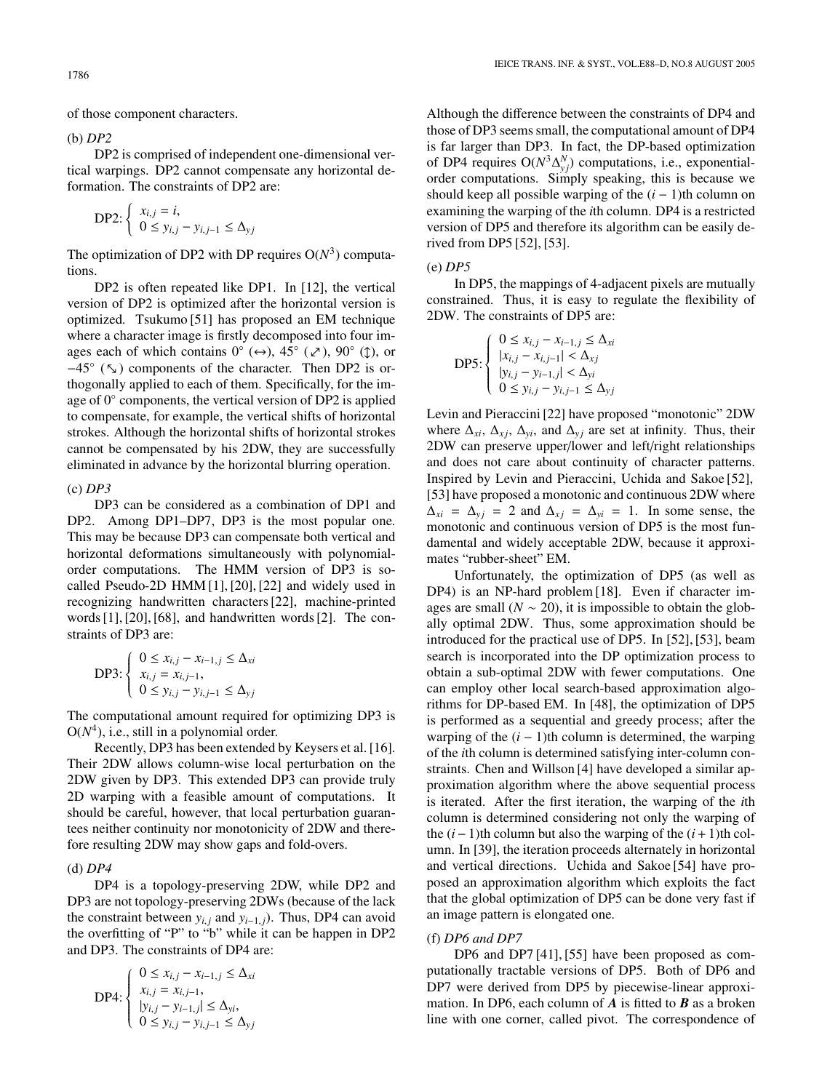of those component characters.

(b) *DP2*

DP2 is comprised of independent one-dimensional vertical warpings. DP2 cannot compensate any horizontal deformation. The constraints of DP2 are:

$$
\text{DP2:} \left\{ \begin{array}{l} x_{i,j} = i, \\ 0 \le y_{i,j} - y_{i,j-1} \le \Delta_{yj} \end{array} \right.
$$

The optimization of DP2 with DP requires  $O(N^3)$  computations.

DP2 is often repeated like DP1. In [12], the vertical version of DP2 is optimized after the horizontal version is optimized. Tsukumo [51] has proposed an EM technique where a character image is firstly decomposed into four images each of which contains  $0^{\circ}$  ( $\leftrightarrow$ ),  $45^{\circ}$  ( $\swarrow$ ),  $90^{\circ}$  ( $\uparrow$ ), or  $-45°$  ( $\overline{\phantom{a}}$ ) components of the character. Then DP2 is orthogonally applied to each of them. Specifically, for the image of 0◦ components, the vertical version of DP2 is applied to compensate, for example, the vertical shifts of horizontal strokes. Although the horizontal shifts of horizontal strokes cannot be compensated by his 2DW, they are successfully eliminated in advance by the horizontal blurring operation.

## (c) *DP3*

DP3 can be considered as a combination of DP1 and DP2. Among DP1–DP7, DP3 is the most popular one. This may be because DP3 can compensate both vertical and horizontal deformations simultaneously with polynomialorder computations. The HMM version of DP3 is socalled Pseudo-2D HMM [1], [20], [22] and widely used in recognizing handwritten characters [22], machine-printed words [1], [20], [68], and handwritten words [2]. The constraints of DP3 are:

$$
\text{DP3:} \begin{cases} 0 \le x_{i,j} - x_{i-1,j} \le \Delta_{xi} \\ x_{i,j} = x_{i,j-1}, \\ 0 \le y_{i,j} - y_{i,j-1} \le \Delta_{yj} \end{cases}
$$

The computational amount required for optimizing DP3 is  $O(N<sup>4</sup>)$ , i.e., still in a polynomial order.

Recently, DP3 has been extended by Keysers et al. [16]. Their 2DW allows column-wise local perturbation on the 2DW given by DP3. This extended DP3 can provide truly 2D warping with a feasible amount of computations. It should be careful, however, that local perturbation guarantees neither continuity nor monotonicity of 2DW and therefore resulting 2DW may show gaps and fold-overs.

## (d) *DP4*

DP4 is a topology-preserving 2DW, while DP2 and DP3 are not topology-preserving 2DWs (because of the lack the constraint between  $y_{i,j}$  and  $y_{i-1,j}$ ). Thus, DP4 can avoid the overfitting of "P" to "b" while it can be happen in DP2 and DP3. The constraints of DP4 are:

$$
\text{DP4:} \begin{cases} 0 \le x_{i,j} - x_{i-1,j} \le \Delta_{xi} \\ x_{i,j} = x_{i,j-1}, \\ |y_{i,j} - y_{i-1,j}| \le \Delta_{yi}, \\ 0 \le y_{i,j} - y_{i,j-1} \le \Delta_{yj} \end{cases}
$$

Although the difference between the constraints of DP4 and those of DP3 seems small, the computational amount of DP4 is far larger than DP3. In fact, the DP-based optimization of DP4 requires  $O(N^3 \Delta_{y_j}^N)$  computations, i.e., exponentialorder computations. Simply speaking, this is because we should keep all possible warping of the  $(i - 1)$ th column on examining the warping of the *i*th column. DP4 is a restricted version of DP5 and therefore its algorithm can be easily derived from DP5 [52], [53].

#### (e) *DP5*

In DP5, the mappings of 4-adjacent pixels are mutually constrained. Thus, it is easy to regulate the flexibility of 2DW. The constraints of DP5 are:

$$
\text{DP5:} \left\{ \begin{array}{l} 0 \leq x_{i,j} - x_{i-1,j} \leq \Delta_{xi} \\ |x_{i,j} - x_{i,j-1}| < \Delta_{xj} \\ |y_{i,j} - y_{i-1,j}| < \Delta_{yi} \\ 0 \leq y_{i,j} - y_{i,j-1} \leq \Delta_{yj} \end{array} \right.
$$

Levin and Pieraccini [22] have proposed "monotonic" 2DW where  $\Delta_{xi}$ ,  $\Delta_{xi}$ ,  $\Delta_{yi}$ , and  $\Delta_{yi}$  are set at infinity. Thus, their 2DW can preserve upper/lower and left/right relationships and does not care about continuity of character patterns. Inspired by Levin and Pieraccini, Uchida and Sakoe [52], [53] have proposed a monotonic and continuous 2DW where  $\Delta_{xi} = \Delta_{yi} = 2$  and  $\Delta_{xi} = \Delta_{yi} = 1$ . In some sense, the monotonic and continuous version of DP5 is the most fundamental and widely acceptable 2DW, because it approximates "rubber-sheet" EM.

Unfortunately, the optimization of DP5 (as well as DP4) is an NP-hard problem [18]. Even if character images are small  $(N \sim 20)$ , it is impossible to obtain the globally optimal 2DW. Thus, some approximation should be introduced for the practical use of DP5. In [52], [53], beam search is incorporated into the DP optimization process to obtain a sub-optimal 2DW with fewer computations. One can employ other local search-based approximation algorithms for DP-based EM. In [48], the optimization of DP5 is performed as a sequential and greedy process; after the warping of the  $(i - 1)$ th column is determined, the warping of the *i*th column is determined satisfying inter-column constraints. Chen and Willson [4] have developed a similar approximation algorithm where the above sequential process is iterated. After the first iteration, the warping of the *i*th column is determined considering not only the warping of the  $(i-1)$ th column but also the warping of the  $(i+1)$ th column. In [39], the iteration proceeds alternately in horizontal and vertical directions. Uchida and Sakoe [54] have proposed an approximation algorithm which exploits the fact that the global optimization of DP5 can be done very fast if an image pattern is elongated one.

#### (f) *DP6 and DP7*

DP6 and DP7 [41], [55] have been proposed as computationally tractable versions of DP5. Both of DP6 and DP7 were derived from DP5 by piecewise-linear approximation. In DP6, each column of *A* is fitted to *B* as a broken line with one corner, called pivot. The correspondence of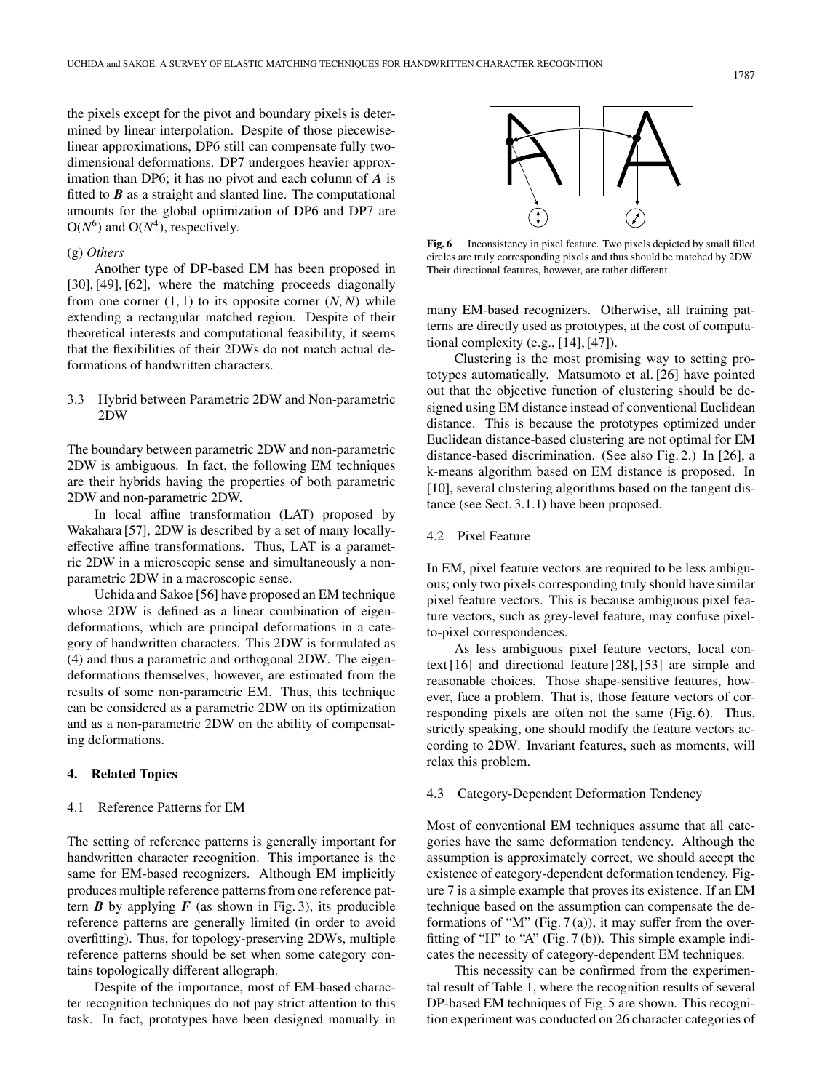the pixels except for the pivot and boundary pixels is determined by linear interpolation. Despite of those piecewiselinear approximations, DP6 still can compensate fully twodimensional deformations. DP7 undergoes heavier approximation than DP6; it has no pivot and each column of *A* is fitted to *B* as a straight and slanted line. The computational amounts for the global optimization of DP6 and DP7 are  $O(N^6)$  and  $O(N^4)$ , respectively.

# (g) *Others*

Another type of DP-based EM has been proposed in [30], [49], [62], where the matching proceeds diagonally from one corner  $(1, 1)$  to its opposite corner  $(N, N)$  while extending a rectangular matched region. Despite of their theoretical interests and computational feasibility, it seems that the flexibilities of their 2DWs do not match actual deformations of handwritten characters.

# 3.3 Hybrid between Parametric 2DW and Non-parametric 2DW

The boundary between parametric 2DW and non-parametric 2DW is ambiguous. In fact, the following EM techniques are their hybrids having the properties of both parametric 2DW and non-parametric 2DW.

In local affine transformation (LAT) proposed by Wakahara [57], 2DW is described by a set of many locallyeffective affine transformations. Thus, LAT is a parametric 2DW in a microscopic sense and simultaneously a nonparametric 2DW in a macroscopic sense.

Uchida and Sakoe [56] have proposed an EM technique whose 2DW is defined as a linear combination of eigendeformations, which are principal deformations in a category of handwritten characters. This 2DW is formulated as (4) and thus a parametric and orthogonal 2DW. The eigendeformations themselves, however, are estimated from the results of some non-parametric EM. Thus, this technique can be considered as a parametric 2DW on its optimization and as a non-parametric 2DW on the ability of compensating deformations.

## **4. Related Topics**

#### 4.1 Reference Patterns for EM

The setting of reference patterns is generally important for handwritten character recognition. This importance is the same for EM-based recognizers. Although EM implicitly produces multiple reference patterns from one reference pattern  $\bf{B}$  by applying  $\bf{F}$  (as shown in Fig. 3), its producible reference patterns are generally limited (in order to avoid overfitting). Thus, for topology-preserving 2DWs, multiple reference patterns should be set when some category contains topologically different allograph.

Despite of the importance, most of EM-based character recognition techniques do not pay strict attention to this task. In fact, prototypes have been designed manually in



**Fig. 6** Inconsistency in pixel feature. Two pixels depicted by small filled circles are truly corresponding pixels and thus should be matched by 2DW. Their directional features, however, are rather different.

many EM-based recognizers. Otherwise, all training patterns are directly used as prototypes, at the cost of computational complexity (e.g., [14], [47]).

Clustering is the most promising way to setting prototypes automatically. Matsumoto et al. [26] have pointed out that the objective function of clustering should be designed using EM distance instead of conventional Euclidean distance. This is because the prototypes optimized under Euclidean distance-based clustering are not optimal for EM distance-based discrimination. (See also Fig. 2.) In [26], a k-means algorithm based on EM distance is proposed. In [10], several clustering algorithms based on the tangent distance (see Sect. 3.1.1) have been proposed.

## 4.2 Pixel Feature

In EM, pixel feature vectors are required to be less ambiguous; only two pixels corresponding truly should have similar pixel feature vectors. This is because ambiguous pixel feature vectors, such as grey-level feature, may confuse pixelto-pixel correspondences.

As less ambiguous pixel feature vectors, local context [16] and directional feature [28], [53] are simple and reasonable choices. Those shape-sensitive features, however, face a problem. That is, those feature vectors of corresponding pixels are often not the same (Fig. 6). Thus, strictly speaking, one should modify the feature vectors according to 2DW. Invariant features, such as moments, will relax this problem.

# 4.3 Category-Dependent Deformation Tendency

Most of conventional EM techniques assume that all categories have the same deformation tendency. Although the assumption is approximately correct, we should accept the existence of category-dependent deformation tendency. Figure 7 is a simple example that proves its existence. If an EM technique based on the assumption can compensate the deformations of "M" (Fig.  $7(a)$ ), it may suffer from the overfitting of "H" to "A" (Fig. 7 (b)). This simple example indicates the necessity of category-dependent EM techniques.

This necessity can be confirmed from the experimental result of Table 1, where the recognition results of several DP-based EM techniques of Fig. 5 are shown. This recognition experiment was conducted on 26 character categories of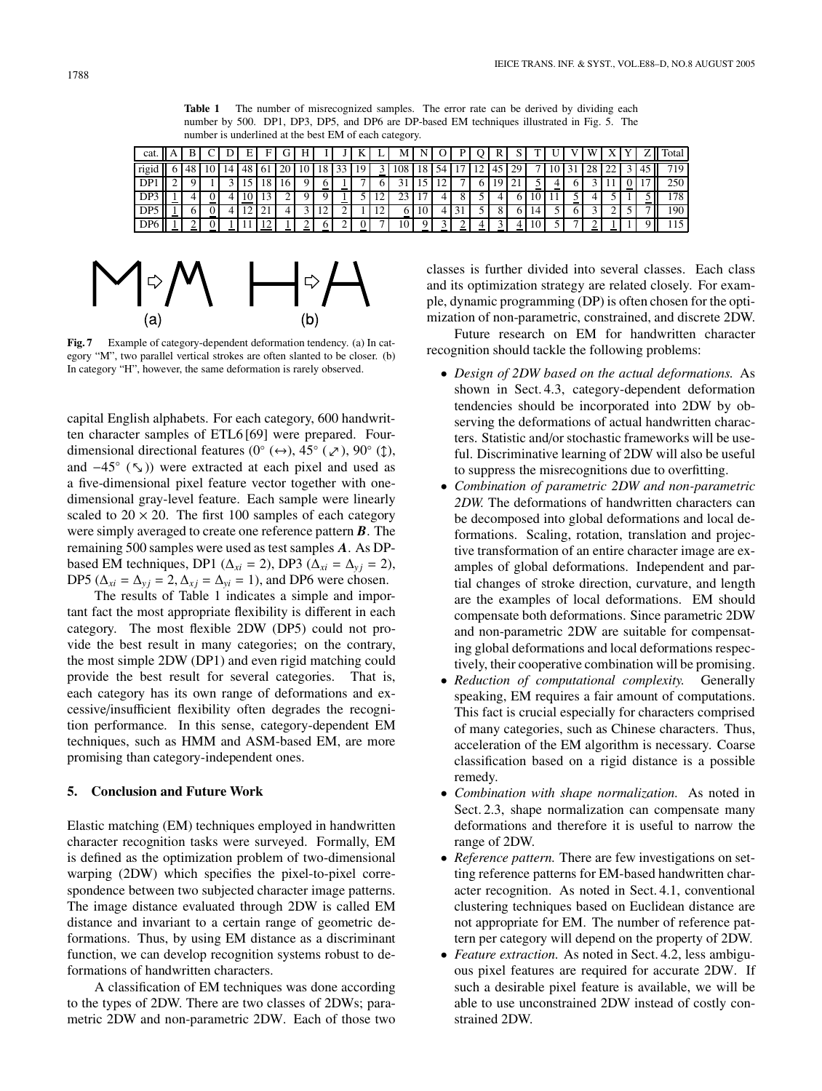**Table 1** The number of misrecognized samples. The error rate can be derived by dividing each number by 500. DP1, DP3, DP5, and DP6 are DP-based EM techniques illustrated in Fig. 5. The number is underlined at the best EM of each category.

| cat.            |  |  | Е   | E  | r  |    |    |   |                | М      | N         | ັ  | υ |                | А  | ◡  |    |  | ۱A |                 |                          | $\mathbf{u}$ | Total        |
|-----------------|--|--|-----|----|----|----|----|---|----------------|--------|-----------|----|---|----------------|----|----|----|--|----|-----------------|--------------------------|--------------|--------------|
| rigid           |  |  |     | vι | 20 | 10 | 18 | ັ |                | 108    | 18        | 54 | ┑ | $\overline{1}$ | 45 | 29 |    |  | 28 | $\bigcap$<br>-- |                          | 40           |              |
| DP              |  |  |     | 18 | 16 |    | -  | - |                |        |           |    |   |                | 9  |    |    |  |    |                 | $\overline{\phantom{a}}$ |              | 250          |
| DP3             |  |  |     |    |    |    |    |   | $\overline{1}$ |        |           |    |   |                |    |    |    |  |    |                 |                          | -            | $70^{\circ}$ |
| DP <sub>5</sub> |  |  | . . | ∸  |    |    | -- | ∸ | -              | O<br>- | $10^{-7}$ |    |   |                |    |    |    |  |    |                 |                          |              | -90          |
| DP <sub>6</sub> |  |  |     |    |    |    |    |   |                | 10     | о         |    |   |                |    |    | 10 |  |    |                 |                          |              |              |



**Fig. 7** Example of category-dependent deformation tendency. (a) In category "M", two parallel vertical strokes are often slanted to be closer. (b) In category "H", however, the same deformation is rarely observed.

capital English alphabets. For each category, 600 handwritten character samples of ETL6 [69] were prepared. Fourdimensional directional features (0° (↔), 45° (∠), 90° (↑), and  $-45°$  ( $\sqrt{ }$ )) were extracted at each pixel and used as a five-dimensional pixel feature vector together with onedimensional gray-level feature. Each sample were linearly scaled to  $20 \times 20$ . The first 100 samples of each category were simply averaged to create one reference pattern *B*. The remaining 500 samples were used as test samples *A*. As DPbased EM techniques, DP1 ( $\Delta_{xi} = 2$ ), DP3 ( $\Delta_{xi} = \Delta_{yi} = 2$ ), DP5 ( $\Delta_{xi} = \Delta_{yi} = 2$ ,  $\Delta_{xi} = \Delta_{yi} = 1$ ), and DP6 were chosen.

The results of Table 1 indicates a simple and important fact the most appropriate flexibility is different in each category. The most flexible 2DW (DP5) could not provide the best result in many categories; on the contrary, the most simple 2DW (DP1) and even rigid matching could provide the best result for several categories. That is, each category has its own range of deformations and excessive/insufficient flexibility often degrades the recognition performance. In this sense, category-dependent EM techniques, such as HMM and ASM-based EM, are more promising than category-independent ones.

# **5. Conclusion and Future Work**

Elastic matching (EM) techniques employed in handwritten character recognition tasks were surveyed. Formally, EM is defined as the optimization problem of two-dimensional warping (2DW) which specifies the pixel-to-pixel correspondence between two subjected character image patterns. The image distance evaluated through 2DW is called EM distance and invariant to a certain range of geometric deformations. Thus, by using EM distance as a discriminant function, we can develop recognition systems robust to deformations of handwritten characters.

A classification of EM techniques was done according to the types of 2DW. There are two classes of 2DWs; parametric 2DW and non-parametric 2DW. Each of those two classes is further divided into several classes. Each class and its optimization strategy are related closely. For example, dynamic programming (DP) is often chosen for the optimization of non-parametric, constrained, and discrete 2DW.

Future research on EM for handwritten character recognition should tackle the following problems:

- *Design of 2DW based on the actual deformations.* As shown in Sect. 4.3, category-dependent deformation tendencies should be incorporated into 2DW by observing the deformations of actual handwritten characters. Statistic and/or stochastic frameworks will be useful. Discriminative learning of 2DW will also be useful to suppress the misrecognitions due to overfitting.
- *Combination of parametric 2DW and non-parametric 2DW.* The deformations of handwritten characters can be decomposed into global deformations and local deformations. Scaling, rotation, translation and projective transformation of an entire character image are examples of global deformations. Independent and partial changes of stroke direction, curvature, and length are the examples of local deformations. EM should compensate both deformations. Since parametric 2DW and non-parametric 2DW are suitable for compensating global deformations and local deformations respectively, their cooperative combination will be promising.
- *Reduction of computational complexity.* Generally speaking, EM requires a fair amount of computations. This fact is crucial especially for characters comprised of many categories, such as Chinese characters. Thus, acceleration of the EM algorithm is necessary. Coarse classification based on a rigid distance is a possible remedy.
- *Combination with shape normalization.* As noted in Sect. 2.3, shape normalization can compensate many deformations and therefore it is useful to narrow the range of 2DW.
- *Reference pattern.* There are few investigations on setting reference patterns for EM-based handwritten character recognition. As noted in Sect. 4.1, conventional clustering techniques based on Euclidean distance are not appropriate for EM. The number of reference pattern per category will depend on the property of 2DW.
- *Feature extraction.* As noted in Sect. 4.2, less ambiguous pixel features are required for accurate 2DW. If such a desirable pixel feature is available, we will be able to use unconstrained 2DW instead of costly constrained 2DW.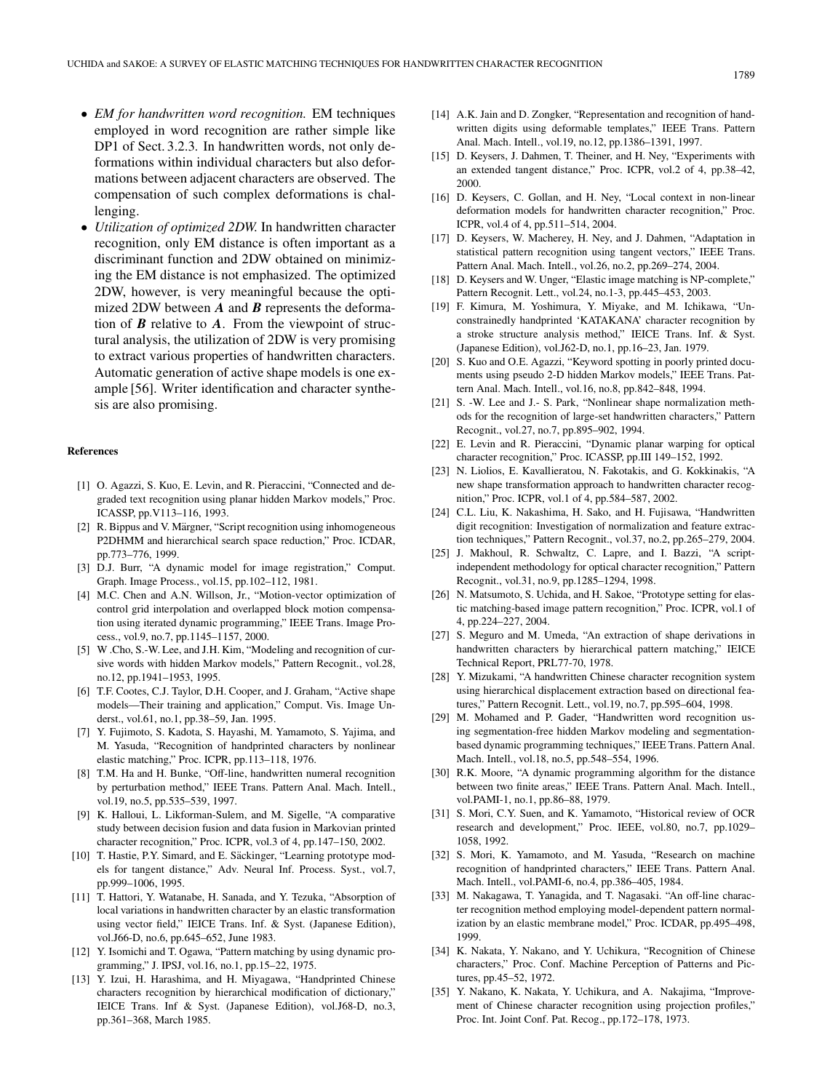- *EM for handwritten word recognition.* EM techniques employed in word recognition are rather simple like DP1 of Sect. 3.2.3. In handwritten words, not only deformations within individual characters but also deformations between adjacent characters are observed. The compensation of such complex deformations is challenging.
- *Utilization of optimized 2DW.* In handwritten character recognition, only EM distance is often important as a discriminant function and 2DW obtained on minimizing the EM distance is not emphasized. The optimized 2DW, however, is very meaningful because the optimized 2DW between *A* and *B* represents the deformation of *B* relative to *A*. From the viewpoint of structural analysis, the utilization of 2DW is very promising to extract various properties of handwritten characters. Automatic generation of active shape models is one example [56]. Writer identification and character synthesis are also promising.

#### **References**

- [1] O. Agazzi, S. Kuo, E. Levin, and R. Pieraccini, "Connected and degraded text recognition using planar hidden Markov models," Proc. ICASSP, pp.V113–116, 1993.
- [2] R. Bippus and V. Märgner, "Script recognition using inhomogeneous P2DHMM and hierarchical search space reduction," Proc. ICDAR, pp.773–776, 1999.
- [3] D.J. Burr, "A dynamic model for image registration," Comput. Graph. Image Process., vol.15, pp.102–112, 1981.
- [4] M.C. Chen and A.N. Willson, Jr., "Motion-vector optimization of control grid interpolation and overlapped block motion compensation using iterated dynamic programming," IEEE Trans. Image Process., vol.9, no.7, pp.1145–1157, 2000.
- [5] W .Cho, S.-W. Lee, and J.H. Kim, "Modeling and recognition of cursive words with hidden Markov models," Pattern Recognit., vol.28, no.12, pp.1941–1953, 1995.
- [6] T.F. Cootes, C.J. Taylor, D.H. Cooper, and J. Graham, "Active shape models—Their training and application," Comput. Vis. Image Underst., vol.61, no.1, pp.38–59, Jan. 1995.
- [7] Y. Fujimoto, S. Kadota, S. Hayashi, M. Yamamoto, S. Yajima, and M. Yasuda, "Recognition of handprinted characters by nonlinear elastic matching," Proc. ICPR, pp.113–118, 1976.
- [8] T.M. Ha and H. Bunke, "Off-line, handwritten numeral recognition by perturbation method," IEEE Trans. Pattern Anal. Mach. Intell., vol.19, no.5, pp.535–539, 1997.
- [9] K. Halloui, L. Likforman-Sulem, and M. Sigelle, "A comparative study between decision fusion and data fusion in Markovian printed character recognition," Proc. ICPR, vol.3 of 4, pp.147–150, 2002.
- [10] T. Hastie, P.Y. Simard, and E. Säckinger, "Learning prototype models for tangent distance," Adv. Neural Inf. Process. Syst., vol.7, pp.999–1006, 1995.
- [11] T. Hattori, Y. Watanabe, H. Sanada, and Y. Tezuka, "Absorption of local variations in handwritten character by an elastic transformation using vector field," IEICE Trans. Inf. & Syst. (Japanese Edition), vol.J66-D, no.6, pp.645–652, June 1983.
- [12] Y. Isomichi and T. Ogawa, "Pattern matching by using dynamic programming," J. IPSJ, vol.16, no.1, pp.15–22, 1975.
- [13] Y. Izui, H. Harashima, and H. Miyagawa, "Handprinted Chinese characters recognition by hierarchical modification of dictionary," IEICE Trans. Inf & Syst. (Japanese Edition), vol.J68-D, no.3, pp.361–368, March 1985.
- [14] A.K. Jain and D. Zongker, "Representation and recognition of handwritten digits using deformable templates," IEEE Trans. Pattern Anal. Mach. Intell., vol.19, no.12, pp.1386–1391, 1997.
- [15] D. Keysers, J. Dahmen, T. Theiner, and H. Ney, "Experiments with an extended tangent distance," Proc. ICPR, vol.2 of 4, pp.38–42, 2000.
- [16] D. Keysers, C. Gollan, and H. Ney, "Local context in non-linear deformation models for handwritten character recognition," Proc. ICPR, vol.4 of 4, pp.511–514, 2004.
- [17] D. Keysers, W. Macherey, H. Ney, and J. Dahmen, "Adaptation in statistical pattern recognition using tangent vectors," IEEE Trans. Pattern Anal. Mach. Intell., vol.26, no.2, pp.269–274, 2004.
- [18] D. Keysers and W. Unger, "Elastic image matching is NP-complete," Pattern Recognit. Lett., vol.24, no.1-3, pp.445–453, 2003.
- [19] F. Kimura, M. Yoshimura, Y. Miyake, and M. Ichikawa, "Unconstrainedly handprinted 'KATAKANA' character recognition by a stroke structure analysis method," IEICE Trans. Inf. & Syst. (Japanese Edition), vol.J62-D, no.1, pp.16–23, Jan. 1979.
- [20] S. Kuo and O.E. Agazzi, "Keyword spotting in poorly printed documents using pseudo 2-D hidden Markov models," IEEE Trans. Pattern Anal. Mach. Intell., vol.16, no.8, pp.842–848, 1994.
- [21] S. -W. Lee and J.- S. Park, "Nonlinear shape normalization methods for the recognition of large-set handwritten characters," Pattern Recognit., vol.27, no.7, pp.895–902, 1994.
- [22] E. Levin and R. Pieraccini, "Dynamic planar warping for optical character recognition," Proc. ICASSP, pp.III 149–152, 1992.
- [23] N. Liolios, E. Kavallieratou, N. Fakotakis, and G. Kokkinakis, "A new shape transformation approach to handwritten character recognition," Proc. ICPR, vol.1 of 4, pp.584–587, 2002.
- [24] C.L. Liu, K. Nakashima, H. Sako, and H. Fujisawa, "Handwritten digit recognition: Investigation of normalization and feature extraction techniques," Pattern Recognit., vol.37, no.2, pp.265–279, 2004.
- [25] J. Makhoul, R. Schwaltz, C. Lapre, and I. Bazzi, "A scriptindependent methodology for optical character recognition," Pattern Recognit., vol.31, no.9, pp.1285–1294, 1998.
- [26] N. Matsumoto, S. Uchida, and H. Sakoe, "Prototype setting for elastic matching-based image pattern recognition," Proc. ICPR, vol.1 of 4, pp.224–227, 2004.
- [27] S. Meguro and M. Umeda, "An extraction of shape derivations in handwritten characters by hierarchical pattern matching," IEICE Technical Report, PRL77-70, 1978.
- [28] Y. Mizukami, "A handwritten Chinese character recognition system using hierarchical displacement extraction based on directional features," Pattern Recognit. Lett., vol.19, no.7, pp.595–604, 1998.
- [29] M. Mohamed and P. Gader, "Handwritten word recognition using segmentation-free hidden Markov modeling and segmentationbased dynamic programming techniques," IEEE Trans. Pattern Anal. Mach. Intell., vol.18, no.5, pp.548–554, 1996.
- [30] R.K. Moore, "A dynamic programming algorithm for the distance between two finite areas," IEEE Trans. Pattern Anal. Mach. Intell., vol.PAMI-1, no.1, pp.86–88, 1979.
- [31] S. Mori, C.Y. Suen, and K. Yamamoto, "Historical review of OCR research and development," Proc. IEEE, vol.80, no.7, pp.1029– 1058, 1992.
- [32] S. Mori, K. Yamamoto, and M. Yasuda, "Research on machine recognition of handprinted characters," IEEE Trans. Pattern Anal. Mach. Intell., vol.PAMI-6, no.4, pp.386–405, 1984.
- [33] M. Nakagawa, T. Yanagida, and T. Nagasaki. "An off-line character recognition method employing model-dependent pattern normalization by an elastic membrane model," Proc. ICDAR, pp.495–498, 1999.
- [34] K. Nakata, Y. Nakano, and Y. Uchikura, "Recognition of Chinese characters," Proc. Conf. Machine Perception of Patterns and Pictures, pp.45–52, 1972.
- [35] Y. Nakano, K. Nakata, Y. Uchikura, and A. Nakajima, "Improvement of Chinese character recognition using projection profiles," Proc. Int. Joint Conf. Pat. Recog., pp.172–178, 1973.